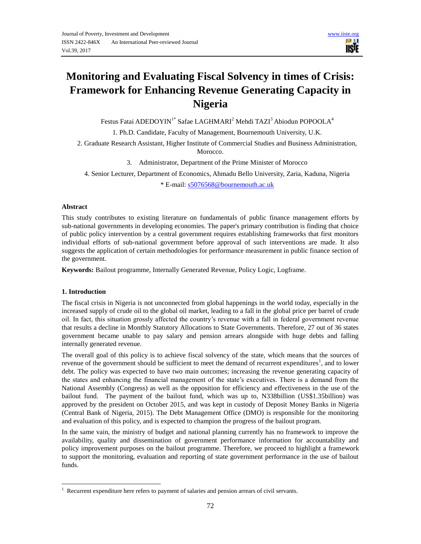# **Monitoring and Evaluating Fiscal Solvency in times of Crisis: Framework for Enhancing Revenue Generating Capacity in Nigeria**

Festus Fatai ADEDOYIN<sup>1\*</sup> Safae LAGHMARI<sup>2</sup> Mehdi TAZI<sup>3</sup> Abiodun POPOOLA<sup>4</sup>

1. Ph.D. Candidate, Faculty of Management, Bournemouth University, U.K.

2. Graduate Research Assistant, Higher Institute of Commercial Studies and Business Administration, Morocco.

3. Administrator, Department of the Prime Minister of Morocco

4. Senior Lecturer, Department of Economics, Ahmadu Bello University, Zaria, Kaduna, Nigeria \* E-mail: [s5076568@bournemouth.ac.uk](mailto:s5076568@bournemouth.ac.uk)

## **Abstract**

This study contributes to existing literature on fundamentals of public finance management efforts by sub-national governments in developing economies. The paper's primary contribution is finding that choice of public policy intervention by a central government requires establishing frameworks that first monitors individual efforts of sub-national government before approval of such interventions are made. It also suggests the application of certain methodologies for performance measurement in public finance section of the government.

**Keywords:** Bailout programme, Internally Generated Revenue, Policy Logic, Logframe.

# **1. Introduction**

 $\overline{a}$ 

The fiscal crisis in Nigeria is not unconnected from global happenings in the world today, especially in the increased supply of crude oil to the global oil market, leading to a fall in the global price per barrel of crude oil. In fact, this situation grossly affected the country's revenue with a fall in federal government revenue that results a decline in Monthly Statutory Allocations to State Governments. Therefore, 27 out of 36 states government became unable to pay salary and pension arrears alongside with huge debts and falling internally generated revenue.

The overall goal of this policy is to achieve fiscal solvency of the state, which means that the sources of revenue of the government should be sufficient to meet the demand of recurrent expenditures<sup>1</sup>, and to lower debt. The policy was expected to have two main outcomes; increasing the revenue generating capacity of the states and enhancing the financial management of the state's executives. There is a demand from the National Assembly (Congress) as well as the opposition for efficiency and effectiveness in the use of the bailout fund. The payment of the bailout fund, which was up to, N338billion (US\$1.35billion) was approved by the president on October 2015, and was kept in custody of Deposit Money Banks in Nigeria (Central Bank of Nigeria, 2015). The Debt Management Office (DMO) is responsible for the monitoring and evaluation of this policy, and is expected to champion the progress of the bailout program.

In the same vain, the ministry of budget and national planning currently has no framework to improve the availability, quality and dissemination of government performance information for accountability and policy improvement purposes on the bailout programme. Therefore, we proceed to highlight a framework to support the monitoring, evaluation and reporting of state government performance in the use of bailout funds.

<sup>&</sup>lt;sup>1</sup> Recurrent expenditure here refers to payment of salaries and pension arrears of civil servants.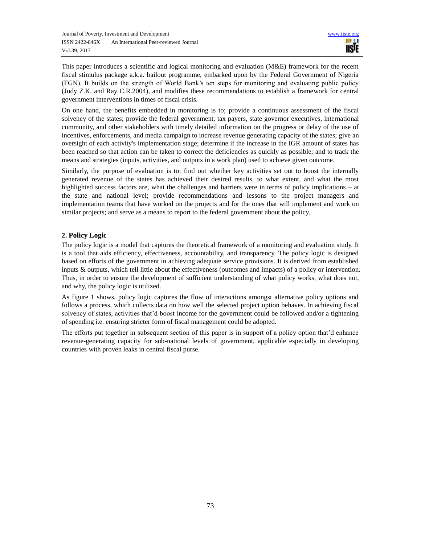This paper introduces a scientific and logical monitoring and evaluation (M&E) framework for the recent fiscal stimulus package a.k.a. bailout programme, embarked upon by the Federal Government of Nigeria (FGN). It builds on the strength of World Bank's ten steps for monitoring and evaluating public policy (Jody Z.K. and Ray C.R.2004), and modifies these recommendations to establish a framework for central government interventions in times of fiscal crisis.

On one hand, the benefits embedded in monitoring is to; provide a continuous assessment of the fiscal solvency of the states; provide the federal government, tax payers, state governor executives, international community, and other stakeholders with timely detailed information on the progress or delay of the use of incentives, enforcements, and media campaign to increase revenue generating capacity of the states; give an oversight of each activity's implementation stage; determine if the increase in the IGR amount of states has been reached so that action can be taken to correct the deficiencies as quickly as possible; and to track the means and strategies (inputs, activities, and outputs in a work plan) used to achieve given outcome.

Similarly, the purpose of evaluation is to; find out whether key activities set out to boost the internally generated revenue of the states has achieved their desired results, to what extent, and what the most highlighted success factors are, what the challenges and barriers were in terms of policy implications – at the state and national level; provide recommendations and lessons to the project managers and implementation teams that have worked on the projects and for the ones that will implement and work on similar projects; and serve as a means to report to the federal government about the policy.

# **2. Policy Logic**

The policy logic is a model that captures the theoretical framework of a monitoring and evaluation study. It is a tool that aids efficiency, effectiveness, accountability, and transparency. The policy logic is designed based on efforts of the government in achieving adequate service provisions. It is derived from established inputs & outputs, which tell little about the effectiveness (outcomes and impacts) of a policy or intervention. Thus, in order to ensure the development of sufficient understanding of what policy works, what does not, and why, the policy logic is utilized.

As figure 1 shows, policy logic captures the flow of interactions amongst alternative policy options and follows a process, which collects data on how well the selected project option behaves. In achieving fiscal solvency of states, activities that'd boost income for the government could be followed and/or a tightening of spending i.e. ensuring stricter form of fiscal management could be adopted.

The efforts put together in subsequent section of this paper is in support of a policy option that'd enhance revenue-generating capacity for sub-national levels of government, applicable especially in developing countries with proven leaks in central fiscal purse.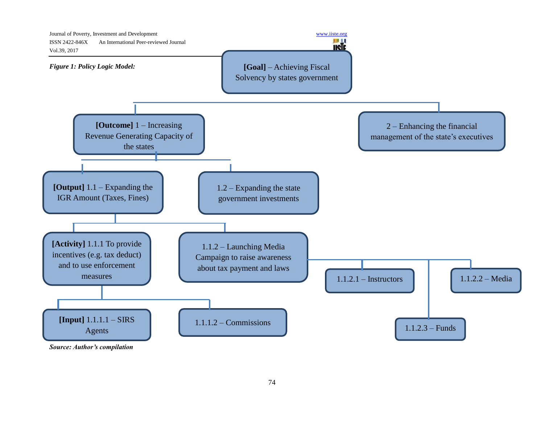

*Source: Author's compilation*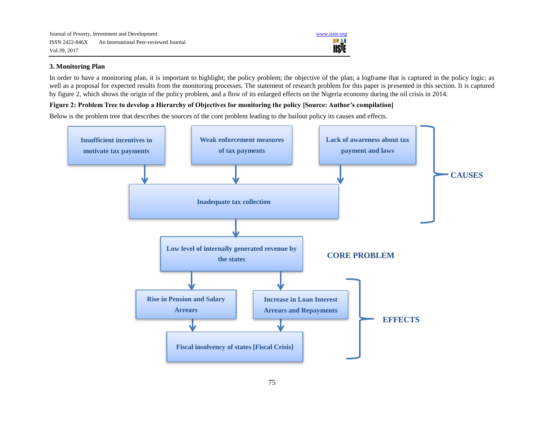

# **3. Monitoring Plan**

In order to have a monitoring plan, it is important to highlight; the policy problem; the objective of the plan; a logframe that is captured in the policy logic; as well as a proposal for expected results from the monitoring processes. The statement of research problem for this paper is presented in this section. It is captured by figure 2, which shows the origin of the policy problem, and a flow of its enlarged effects on the Nigeria economy during the oil crisis in 2014.

# **Figure 2: Problem Tree to develop a Hierarchy of Objectives for monitoring the policy [Source: Author's compilation]**

Below is the problem tree that describes the sources of the core problem leading to the bailout policy its causes and effects.

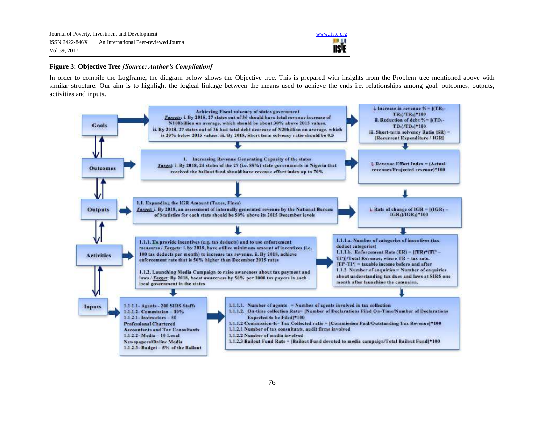

# **Figure 3: Objective Tree** *[Source: Author's Compilation]*

In order to compile the Logframe, the diagram below shows the Objective tree. This is prepared with insights from the Problem tree mentioned above with similar structure. Our aim is to highlight the logical linkage between the means used to achieve the ends i.e. relationships among goal, outcomes, outputs, activities and inputs.

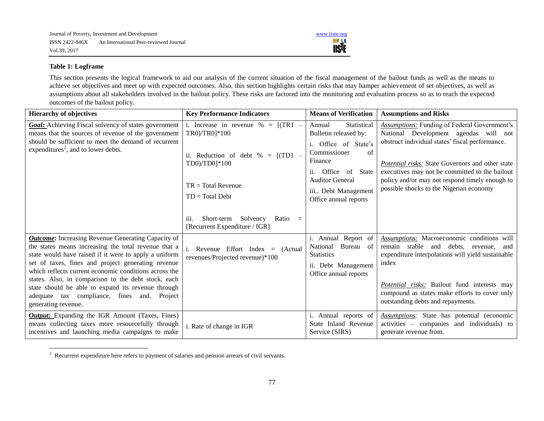

# **Table 1: Logframe**

-

This section presents the logical framework to aid our analysis of the current situation of the fiscal management of the bailout funds as well as the means to achieve set objectives and meet up with expected outcomes. Also, this section highlights certain risks that may hamper achievement of set objectives, as well as assumptions about all stakeholders involved in the bailout policy. These risks are factored into the monitoring and evaluation process so as to reach the expected outcomes of the bailout policy.

| <b>Hierarchy of objectives</b>                                                                                                                                                                                                                                                                                                                                                                         | <b>Key Performance Indicators</b>                                                                                                                            | <b>Means of Verification</b>                                                                                                                                                                                                | <b>Assumptions and Risks</b>                                                                                                                                                                                                                                                                                                                       |
|--------------------------------------------------------------------------------------------------------------------------------------------------------------------------------------------------------------------------------------------------------------------------------------------------------------------------------------------------------------------------------------------------------|--------------------------------------------------------------------------------------------------------------------------------------------------------------|-----------------------------------------------------------------------------------------------------------------------------------------------------------------------------------------------------------------------------|----------------------------------------------------------------------------------------------------------------------------------------------------------------------------------------------------------------------------------------------------------------------------------------------------------------------------------------------------|
| <b>Goal:</b> Achieving Fiscal solvency of states government<br>means that the sources of revenue of the government<br>should be sufficient to meet the demand of recurrent<br>expenditures <sup>2</sup> , and to lower debts.                                                                                                                                                                          | i. Increase in revenue $\% = [(TR1 -$<br>TR0)/TR01*100<br>ii. Reduction of debt $\% = [(TD1 -$<br>TD0)/TD0]*100<br>$TR = Total Revenue$<br>$TD = Total Debt$ | Statistical<br>Annual<br>Bulletin released by:<br>Office of State's<br>i.<br>Commissioner<br>of<br>Finance<br>ii.<br>Office<br><b>State</b><br>of<br><b>Auditor General</b><br>iii Debt Management<br>Office annual reports | <b>Assumptions:</b> Funding of Federal Government's<br>National Development agendas will not<br>obstruct individual states' fiscal performance.<br>Potential risks: State Governors and other state<br>executives may not be committed to the bailout<br>policy and/or may not respond timely enough to<br>possible shocks to the Nigerian economy |
|                                                                                                                                                                                                                                                                                                                                                                                                        | Solvency<br>Short-term<br>Ratio<br>$\equiv$<br>111.<br>[Recurrent Expenditure / IGR]                                                                         |                                                                                                                                                                                                                             |                                                                                                                                                                                                                                                                                                                                                    |
| <b>Outcome:</b> Increasing Revenue Generating Capacity of<br>the states means increasing the total revenue that a<br>state would have raised if it were to apply a uniform<br>set of taxes, fines and project generating revenue<br>which reflects current economic conditions across the<br>states. Also, in comparison to the debt stock, each<br>state should be able to expand its revenue through | i. Revenue Effort Index $=$<br>(Actual)<br>revenues/Projected revenue)*100                                                                                   | i. Annual Report of<br>Bureau of<br>National<br><b>Statistics</b><br>ii. Debt Management<br>Office annual reports                                                                                                           | Assumptions: Macroeconomic conditions will<br>remain stable and<br>debts, revenue,<br>and<br>expenditure interpolations will yield sustainable<br>index<br><i>Potential risks:</i> Bailout fund interests may                                                                                                                                      |
| adequate tax compliance, fines and.<br>Project<br>generating revenue.                                                                                                                                                                                                                                                                                                                                  |                                                                                                                                                              |                                                                                                                                                                                                                             | compound as states make efforts to cover only<br>outstanding debts and repayments.                                                                                                                                                                                                                                                                 |
| <b>Output:</b> Expanding the IGR Amount (Taxes, Fines)<br>means collecting taxes more resourcefully through<br>incentives and launching media campaigns to make                                                                                                                                                                                                                                        | i. Rate of change in IGR                                                                                                                                     | Annual reports of<br>State Inland Revenue<br>Service (SIRS)                                                                                                                                                                 | Assumptions: State has potential (economic<br>activities – companies and individuals) to<br>generate revenue from.                                                                                                                                                                                                                                 |

 $2\text{}$  Recurrent expenditure here refers to payment of salaries and pension arrears of civil servants.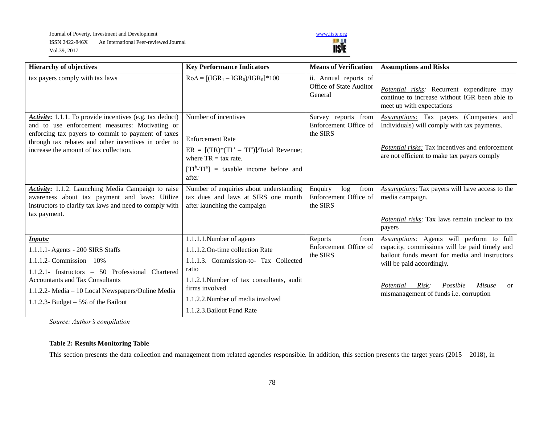Journal of Poverty, Investment and Development<br>
ISSN 2422-846X An International Peer-reviewed Journal<br>
Vol.39, 2017 ISSN 2422-846X An International Peer-reviewed Journal Vol.39, 2017



| <b>Hierarchy of objectives</b>                                                                                                                                                                                                                                                 | <b>Key Performance Indicators</b>                                                                                                                                                                                  | <b>Means of Verification</b>                                | <b>Assumptions and Risks</b>                                                                                                                                                                                                                                                                 |
|--------------------------------------------------------------------------------------------------------------------------------------------------------------------------------------------------------------------------------------------------------------------------------|--------------------------------------------------------------------------------------------------------------------------------------------------------------------------------------------------------------------|-------------------------------------------------------------|----------------------------------------------------------------------------------------------------------------------------------------------------------------------------------------------------------------------------------------------------------------------------------------------|
| tax payers comply with tax laws                                                                                                                                                                                                                                                | $Ro\Delta = [(IGR_1 - IGR_0)/IGR_0] * 100$                                                                                                                                                                         | ii. Annual reports of<br>Office of State Auditor<br>General | Potential risks: Recurrent expenditure may<br>continue to increase without IGR been able to<br>meet up with expectations                                                                                                                                                                     |
| Activity: 1.1.1. To provide incentives (e.g. tax deduct)<br>and to use enforcement measures: Motivating or<br>enforcing tax payers to commit to payment of taxes<br>through tax rebates and other incentives in order to<br>increase the amount of tax collection.             | Number of incentives<br><b>Enforcement Rate</b><br>$ER = [(TR)*(TIb - TIa)]/Total Revenue;$<br>where $TR = \text{tax rate}$ .<br>$[TI^b-TI^a]$ = taxable income before and<br>after                                | Survey reports from<br>Enforcement Office of<br>the SIRS    | Assumptions: Tax payers (Companies and<br>Individuals) will comply with tax payments.<br><b>Potential risks:</b> Tax incentives and enforcement<br>are not efficient to make tax payers comply                                                                                               |
| Activity: 1.1.2. Launching Media Campaign to raise<br>awareness about tax payment and laws: Utilize<br>instructors to clarify tax laws and need to comply with<br>tax payment.                                                                                                 | Number of enquiries about understanding<br>tax dues and laws at SIRS one month<br>after launching the campaign                                                                                                     | from<br>Enquiry<br>log<br>Enforcement Office of<br>the SIRS | Assumptions: Tax payers will have access to the<br>media campaign.<br>Potential risks: Tax laws remain unclear to tax                                                                                                                                                                        |
|                                                                                                                                                                                                                                                                                |                                                                                                                                                                                                                    | from                                                        | payers                                                                                                                                                                                                                                                                                       |
| <b>Inputs:</b><br>1.1.1.1- Agents - 200 SIRS Staffs<br>1.1.1.2- Commission $-10\%$<br>1.1.2.1- Instructors - 50 Professional Chartered<br><b>Accountants and Tax Consultants</b><br>1.1.2.2- Media - 10 Local Newspapers/Online Media<br>1.1.2.3- Budget $-5\%$ of the Bailout | 1.1.1.1.Number of agents<br>1.1.1.2. On-time collection Rate<br>1.1.1.3. Commission-to- Tax Collected<br>ratio<br>1.1.2.1. Number of tax consultants, audit<br>firms involved<br>1.1.2.2. Number of media involved | Reports<br>Enforcement Office of<br>the SIRS                | Assumptions: Agents will perform to full<br>capacity, commissions will be paid timely and<br>bailout funds meant for media and instructors<br>will be paid accordingly.<br>Possible<br>Potential<br>Risk:<br><b>Misuse</b><br><sub>or</sub><br>mismanagement of funds <i>i.e.</i> corruption |
|                                                                                                                                                                                                                                                                                | 1.1.2.3. Bailout Fund Rate                                                                                                                                                                                         |                                                             |                                                                                                                                                                                                                                                                                              |

*Source: Author's compilation*

# **Table 2: Results Monitoring Table**

This section presents the data collection and management from related agencies responsible. In addition, this section presents the target years (2015 – 2018), in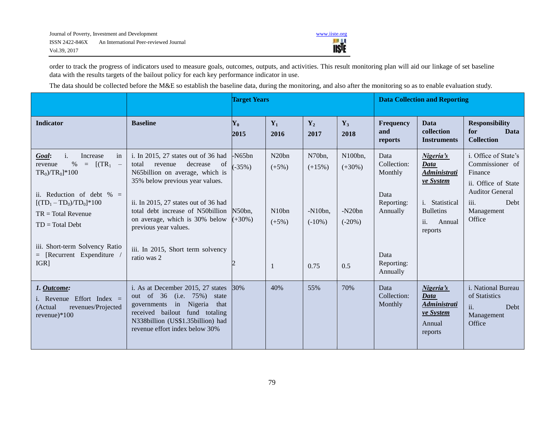

order to track the progress of indicators used to measure goals, outcomes, outputs, and activities. This result monitoring plan will aid our linkage of set baseline data with the results targets of the bailout policy for each key performance indicator in use.

The data should be collected before the M&E so establish the baseline data, during the monitoring, and also after the monitoring so as to enable evaluation study.

|                                                                                                                                                                                                                                                                                                     |                                                                                                                                                                                                                                                                                                                                             | <b>Target Years</b>                          |                                                                    |                                                      | <b>Data Collection and Reporting</b>                |                                                                                        |                                                                                                                                |                                                                                                                                             |
|-----------------------------------------------------------------------------------------------------------------------------------------------------------------------------------------------------------------------------------------------------------------------------------------------------|---------------------------------------------------------------------------------------------------------------------------------------------------------------------------------------------------------------------------------------------------------------------------------------------------------------------------------------------|----------------------------------------------|--------------------------------------------------------------------|------------------------------------------------------|-----------------------------------------------------|----------------------------------------------------------------------------------------|--------------------------------------------------------------------------------------------------------------------------------|---------------------------------------------------------------------------------------------------------------------------------------------|
| <b>Indicator</b>                                                                                                                                                                                                                                                                                    | <b>Baseline</b>                                                                                                                                                                                                                                                                                                                             | $\mathbf{Y_0}$<br>2015                       | $Y_1$<br>2016                                                      | $Y_2$<br>2017                                        | $Y_3$<br>2018                                       | Frequency<br>and<br>reports                                                            | Data<br>collection<br><b>Instruments</b>                                                                                       | <b>Responsibility</b><br><b>Data</b><br>for<br><b>Collection</b>                                                                            |
| in<br>$\mathbf{i}$ .<br>Increase<br>Goal:<br>$[(TR_1 -$<br>%<br>revenue<br>$\equiv$<br>$TR_0$ ) $TR_0$ ]*100<br>ii. Reduction of debt $\% =$<br>$[(TD_1 - TD_0)/TD_0]$ *100<br>$TR = Total Revenue$<br>$TD = Total Debt$<br>iii. Short-term Solvency Ratio<br>$=$ [Recurrent Expenditure<br>$IGR$ ] | i. In 2015, 27 states out of 36 had<br>decrease<br>total<br>revenue<br>of<br>N65billion on average, which is<br>35% below previous year values.<br>ii. In 2015, 27 states out of 36 had<br>total debt increase of N50billion<br>on average, which is 30% below<br>previous year values.<br>iii. In 2015, Short term solvency<br>ratio was 2 | $-N65bn$<br>$-35\%$ )<br>N50bn,<br>$(+30\%)$ | N <sub>20bn</sub><br>$(+5%)$<br>N <sub>10</sub> bn<br>$(+5%)$<br>1 | N70bn,<br>$(+15%)$<br>$-N10bn,$<br>$(-10\%)$<br>0.75 | N100bn,<br>$(+30\%)$<br>$-N20bn$<br>$(-20%)$<br>0.5 | Data<br>Collection:<br>Monthly<br>Data<br>Reporting:<br>Annually<br>Data<br>Reporting: | Nigeria's<br>Data<br><i><b>Administrati</b></i><br>ve System<br>i. Statistical<br><b>Bulletins</b><br>ii.<br>Annual<br>reports | i. Office of State's<br>Commissioner of<br>Finance<br>ii. Office of State<br><b>Auditor General</b><br>iii.<br>Debt<br>Management<br>Office |
| 1. Outcome:<br>i. Revenue Effort Index =<br>(Actual<br>revenues/Projected<br>revenue)*100                                                                                                                                                                                                           | i. As at December 2015, 27 states<br>out of 36 (i.e. 75%) state<br>governments in Nigeria that<br>received bailout fund totaling<br>N338billion (US\$1.35billion) had<br>revenue effort index below 30%                                                                                                                                     | 30%                                          | 40%                                                                | 55%                                                  | 70%                                                 | Annually<br>Data<br>Collection:<br>Monthly                                             | Nigeria's<br>Data<br><i><b>Administrati</b></i><br>ve System<br>Annual<br>reports                                              | <i>i</i> . National Bureau<br>of Statistics<br>ii.<br>Debt<br>Management<br>Office                                                          |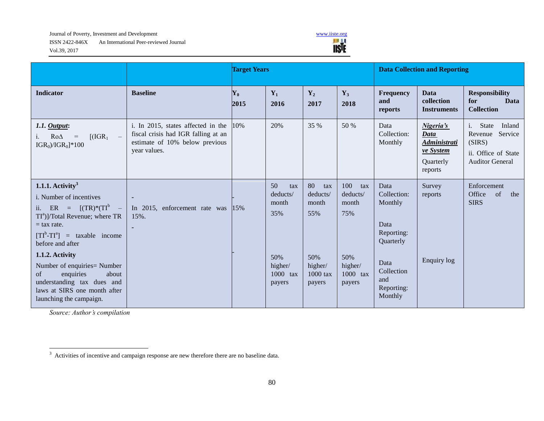Journal of Poverty, Investment and Development<br>
ISSN 2422-846X An International Peer-reviewed Journal<br>
Vol.39, 2017 ISSN 2422-846X An International Peer-reviewed Journal Vol.39, 2017



|                                                                                                                                                                                                                                                                                                                                                                                 |                                                                                                                             | <b>Target Years</b>    |                                                                               |                                                                               |                                                                                | <b>Data Collection and Reporting</b>                                                                                    |                                                                               |                                                                                                                    |  |
|---------------------------------------------------------------------------------------------------------------------------------------------------------------------------------------------------------------------------------------------------------------------------------------------------------------------------------------------------------------------------------|-----------------------------------------------------------------------------------------------------------------------------|------------------------|-------------------------------------------------------------------------------|-------------------------------------------------------------------------------|--------------------------------------------------------------------------------|-------------------------------------------------------------------------------------------------------------------------|-------------------------------------------------------------------------------|--------------------------------------------------------------------------------------------------------------------|--|
| <b>Indicator</b>                                                                                                                                                                                                                                                                                                                                                                | <b>Baseline</b>                                                                                                             | $\mathbf{Y}_0$<br>2015 | $Y_1$<br>2016                                                                 | $Y_2$<br>2017                                                                 | $Y_3$<br>2018                                                                  | Frequency<br>and<br>reports                                                                                             | <b>Data</b><br>collection<br><b>Instruments</b>                               | <b>Responsibility</b><br>for<br><b>Data</b><br><b>Collection</b>                                                   |  |
| $1.1.$ Output:<br>$[(IGR1 -$<br>$Ro\Delta$ =<br>$IGR_0)/IGR_0$ <sup>*</sup> 100                                                                                                                                                                                                                                                                                                 | i. In 2015, states affected in the<br>fiscal crisis had IGR falling at an<br>estimate of 10% below previous<br>year values. | 10%                    | 20%                                                                           | 35 %                                                                          | 50 %                                                                           | Data<br>Collection:<br>Monthly                                                                                          | Nigeria's<br>Data<br>Administrati<br>ve System<br><b>Ouarterly</b><br>reports | $\mathbf{i}$ .<br>State<br>Inland<br>Service<br>Revenue<br>(SIRS)<br>ii. Office of State<br><b>Auditor General</b> |  |
| 1.1.1. Activity <sup>3</sup><br>i. Number of incentives<br>ii. ER = $[(TR)*(TI^b)]$<br>TI <sup>a</sup> )]/Total Revenue; where TR<br>$=$ tax rate.<br>$[TI^b-TI^a]$ = taxable income<br>before and after<br>1.1.2. Activity<br>Number of enquiries= Number<br>enquiries<br>about<br>of<br>understanding tax dues and<br>laws at SIRS one month after<br>launching the campaign. | $\blacksquare$<br>In 2015, enforcement rate was<br>15%.<br>$\blacksquare$                                                   | 15%                    | 50<br>tax<br>deducts/<br>month<br>35%<br>50%<br>higher/<br>1000 tax<br>payers | 80<br>tax<br>deducts/<br>month<br>55%<br>50%<br>higher/<br>1000 tax<br>payers | 100<br>tax<br>deducts/<br>month<br>75%<br>50%<br>higher/<br>1000 tax<br>payers | Data<br>Collection:<br>Monthly<br>Data<br>Reporting:<br>Quarterly<br>Data<br>Collection<br>and<br>Reporting:<br>Monthly | Survey<br>reports<br>Enquiry log                                              | Enforcement<br>Office<br><sub>of</sub><br>the<br><b>SIRS</b>                                                       |  |

*Source: Author's compilation*

-

 $3$  Activities of incentive and campaign response are new therefore there are no baseline data.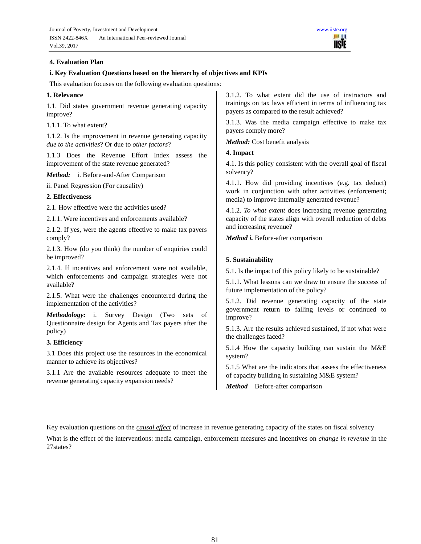

## **4. Evaluation Plan**

#### **i. Key Evaluation Questions based on the hierarchy of objectives and KPIs**

This evaluation focuses on the following evaluation questions:

#### **1. Relevance**

1.1. Did states government revenue generating capacity improve?

1.1.1. To what extent?

1.1.2. Is the improvement in revenue generating capacity *due to the activities*? Or due to *other factors*?

1.1.3 Does the Revenue Effort Index assess the improvement of the state revenue generated?

*Method:* i. Before-and-After Comparison

ii. Panel Regression (For causality)

# **2. Effectiveness**

2.1. How effective were the activities used?

2.1.1. Were incentives and enforcements available?

2.1.2. If yes, were the agents effective to make tax payers comply?

2.1.3. How (do you think) the number of enquiries could be improved?

2.1.4. If incentives and enforcement were not available, which enforcements and campaign strategies were not available?

2.1.5. What were the challenges encountered during the implementation of the activities?

*Methodology:* i. Survey Design (Two sets of Questionnaire design for Agents and Tax payers after the policy)

#### **3. Efficiency**

3.1 Does this project use the resources in the economical manner to achieve its objectives?

3.1.1 Are the available resources adequate to meet the revenue generating capacity expansion needs?

3.1.2. To what extent did the use of instructors and trainings on tax laws efficient in terms of influencing tax payers as compared to the result achieved?

3.1.3. Was the media campaign effective to make tax payers comply more?

*Method:* Cost benefit analysis

## **4. Impact**

4.1. Is this policy consistent with the overall goal of fiscal solvency?

4.1.1. How did providing incentives (e.g. tax deduct) work in conjunction with other activities (enforcement; media) to improve internally generated revenue?

4.1.2. *To what extent* does increasing revenue generating capacity of the states align with overall reduction of debts and increasing revenue?

*Method i.* Before-after comparison

#### **5. Sustainability**

5.1. Is the impact of this policy likely to be sustainable?

5.1.1. What lessons can we draw to ensure the success of future implementation of the policy?

5.1.2. Did revenue generating capacity of the state government return to falling levels or continued to improve?

5.1.3. Are the results achieved sustained, if not what were the challenges faced?

5.1.4 How the capacity building can sustain the M&E system?

5.1.5 What are the indicators that assess the effectiveness of capacity building in sustaining M&E system?

*Method* Before-after comparison

Key evaluation questions on the *causal effect* of increase in revenue generating capacity of the states on fiscal solvency

What is the effect of the interventions: media campaign, enforcement measures and incentives on *change in revenue* in the 27states?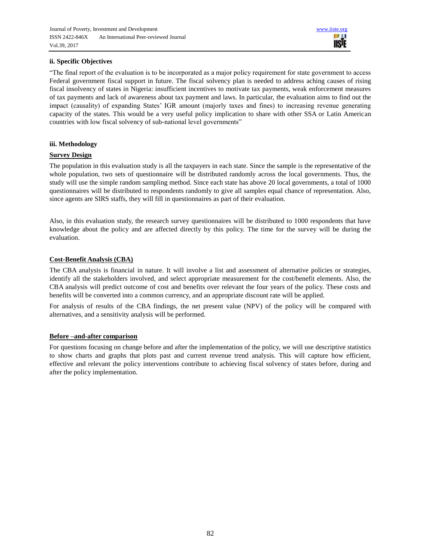

# **ii. Specific Objectives**

"The final report of the evaluation is to be incorporated as a major policy requirement for state government to access Federal government fiscal support in future. The fiscal solvency plan is needed to address aching causes of rising fiscal insolvency of states in Nigeria: insufficient incentives to motivate tax payments, weak enforcement measures of tax payments and lack of awareness about tax payment and laws. In particular, the evaluation aims to find out the impact (causality) of expanding States' IGR amount (majorly taxes and fines) to increasing revenue generating capacity of the states. This would be a very useful policy implication to share with other SSA or Latin American countries with low fiscal solvency of sub-national level governments"

## **iii. Methodology**

## **Survey Design**

The population in this evaluation study is all the taxpayers in each state. Since the sample is the representative of the whole population, two sets of questionnaire will be distributed randomly across the local governments. Thus, the study will use the simple random sampling method. Since each state has above 20 local governments, a total of 1000 questionnaires will be distributed to respondents randomly to give all samples equal chance of representation. Also, since agents are SIRS staffs, they will fill in questionnaires as part of their evaluation.

Also, in this evaluation study, the research survey questionnaires will be distributed to 1000 respondents that have knowledge about the policy and are affected directly by this policy. The time for the survey will be during the evaluation.

## **Cost-Benefit Analysis (CBA)**

The CBA analysis is financial in nature. It will involve a list and assessment of alternative policies or strategies, identify all the stakeholders involved, and select appropriate measurement for the cost/benefit elements. Also, the CBA analysis will predict outcome of cost and benefits over relevant the four years of the policy. These costs and benefits will be converted into a common currency, and an appropriate discount rate will be applied.

For analysis of results of the CBA findings, the net present value (NPV) of the policy will be compared with alternatives, and a sensitivity analysis will be performed.

#### **Before –and-after comparison**

For questions focusing on change before and after the implementation of the policy, we will use descriptive statistics to show charts and graphs that plots past and current revenue trend analysis. This will capture how efficient, effective and relevant the policy interventions contribute to achieving fiscal solvency of states before, during and after the policy implementation.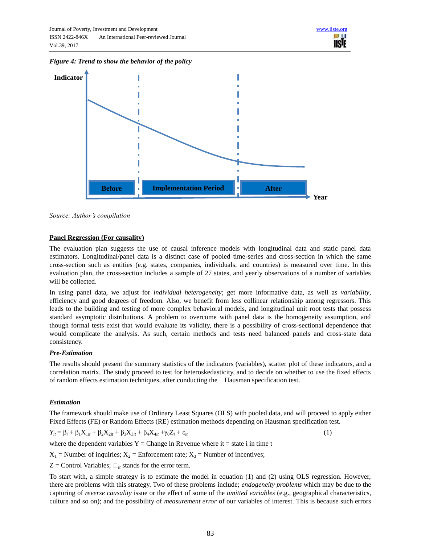*Figure 4: Trend to show the behavior of the policy*



*Source: Author's compilation*

## **Panel Regression (For causality)**

The evaluation plan suggests the use of causal inference models with longitudinal data and static panel data estimators. Longitudinal/panel data is a distinct case of pooled time-series and cross-section in which the same cross-section such as entities (e.g. states, companies, individuals, and countries) is measured over time. In this evaluation plan, the cross-section includes a sample of 27 states, and yearly observations of a number of variables will be collected.

In using panel data, we adjust for *individual heterogeneity*; get more informative data, as well as *variability*, efficiency and good degrees of freedom. Also, we benefit from less collinear relationship among regressors. This leads to the building and testing of more complex behavioral models, and longitudinal unit root tests that possess standard asymptotic distributions. A problem to overcome with panel data is the homogeneity assumption, and though formal tests exist that would evaluate its validity, there is a possibility of cross-sectional dependence that would complicate the analysis. As such, certain methods and tests need balanced panels and cross-state data consistency.

#### *Pre-Estimation*

The results should present the summary statistics of the indicators (variables), scatter plot of these indicators, and a correlation matrix. The study proceed to test for heteroskedasticity, and to decide on whether to use the fixed effects of random effects estimation techniques, after conducting the Hausman specification test.

#### *Estimation*

The framework should make use of Ordinary Least Squares (OLS) with pooled data, and will proceed to apply either Fixed Effects (FE) or Random Effects (RE) estimation methods depending on Hausman specification test.

$$
Y_{it} = \beta_i + \beta_1 X_{1it} + \beta_2 X_{2it} + \beta_3 X_{3it} + \beta_4 X_{4it} + \gamma_0 Z_i + \varepsilon_{it}
$$
\n(1)

where the dependent variables  $Y = Change$  in Revenue where it = state i in time t

 $X_1$  = Number of inquiries;  $X_2$  = Enforcement rate;  $X_3$  = Number of incentives;

 $Z =$  Control Variables;  $\Box_{it}$  stands for the error term.

To start with, a simple strategy is to estimate the model in equation (1) and (2) using OLS regression. However, there are problems with this strategy. Two of these problems include; *endogeneity problems* which may be due to the capturing of *reverse causality* issue or the effect of some of the *omitted variables* (e.g., geographical characteristics, culture and so on); and the possibility of *measurement error* of our variables of interest. This is because such errors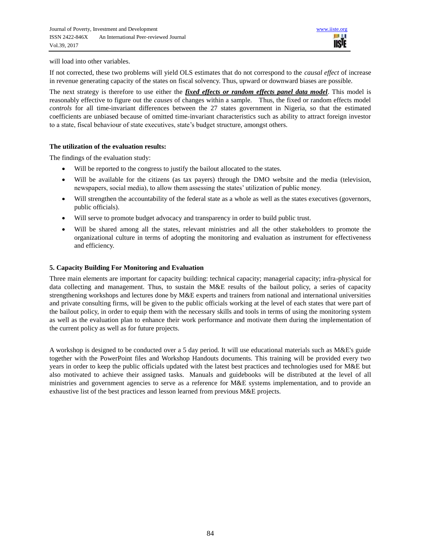will load into other variables.

If not corrected, these two problems will yield OLS estimates that do not correspond to the *causal effect* of increase in revenue generating capacity of the states on fiscal solvency. Thus, upward or downward biases are possible.

The next strategy is therefore to use either the *fixed effects or random effects panel data model*. This model is reasonably effective to figure out the *causes* of changes within a sample. Thus, the fixed or random effects model *controls* for all time-invariant differences between the 27 states government in Nigeria, so that the estimated coefficients are unbiased because of omitted time-invariant characteristics such as ability to attract foreign investor to a state, fiscal behaviour of state executives, state's budget structure, amongst others.

#### **The utilization of the evaluation results:**

The findings of the evaluation study:

- Will be reported to the congress to justify the bailout allocated to the states.
- Will be available for the citizens (as tax payers) through the DMO website and the media (television, newspapers, social media), to allow them assessing the states' utilization of public money.
- Will strengthen the accountability of the federal state as a whole as well as the states executives (governors, public officials).
- Will serve to promote budget advocacy and transparency in order to build public trust.
- Will be shared among all the states, relevant ministries and all the other stakeholders to promote the organizational culture in terms of adopting the monitoring and evaluation as instrument for effectiveness and efficiency.

## **5. Capacity Building For Monitoring and Evaluation**

Three main elements are important for capacity building: technical capacity; managerial capacity; infra-physical for data collecting and management. Thus, to sustain the M&E results of the bailout policy, a series of capacity strengthening workshops and lectures done by M&E experts and trainers from national and international universities and private consulting firms, will be given to the public officials working at the level of each states that were part of the bailout policy, in order to equip them with the necessary skills and tools in terms of using the monitoring system as well as the evaluation plan to enhance their work performance and motivate them during the implementation of the current policy as well as for future projects.

A workshop is designed to be conducted over a 5 day period. It will use educational materials such as M&E's guide together with the PowerPoint files and Workshop Handouts documents. This training will be provided every two years in order to keep the public officials updated with the latest best practices and technologies used for M&E but also motivated to achieve their assigned tasks. Manuals and guidebooks will be distributed at the level of all ministries and government agencies to serve as a reference for M&E systems implementation, and to provide an exhaustive list of the best practices and lesson learned from previous M&E projects.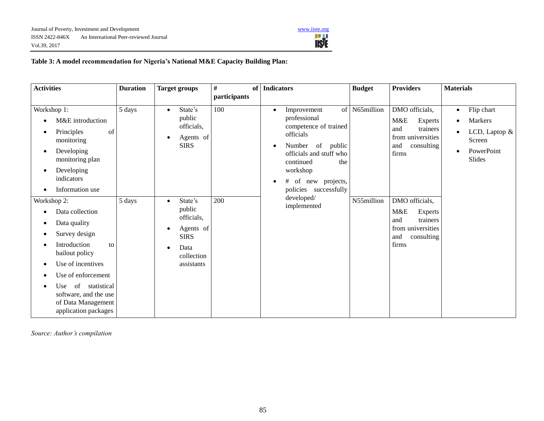

# **Table 3: A model recommendation for Nigeria's National M&E Capacity Building Plan:**

| <b>Activities</b>                                                                                                                                                                                                                                         | <b>Duration</b> | <b>Target groups</b>                                                                                              | $\#$<br>of<br>participants | <b>Indicators</b>                                                                                                                                                                                                                     | <b>Budget</b>     | <b>Providers</b>                                                                                       | <b>Materials</b>                                                                      |
|-----------------------------------------------------------------------------------------------------------------------------------------------------------------------------------------------------------------------------------------------------------|-----------------|-------------------------------------------------------------------------------------------------------------------|----------------------------|---------------------------------------------------------------------------------------------------------------------------------------------------------------------------------------------------------------------------------------|-------------------|--------------------------------------------------------------------------------------------------------|---------------------------------------------------------------------------------------|
| Workshop 1:<br>M&E introduction<br>Principles<br>of<br>monitoring<br>Developing<br>$\bullet$<br>monitoring plan<br>Developing<br>indicators<br>Information use                                                                                            | 5 days          | State's<br>$\bullet$<br>public<br>officials,<br>Agents of<br>$\bullet$<br><b>SIRS</b>                             | 100                        | Improvement<br>$\bullet$<br>professional<br>competence of trained<br>officials<br>Number<br>of<br>public<br>$\bullet$<br>officials and stuff who<br>continued<br>the<br>workshop<br>of<br>new projects,<br>#<br>policies successfully | of N65 $m$ illion | DMO officials,<br>M&E<br>Experts<br>trainers<br>and<br>from universities<br>consulting<br>and<br>firms | Flip chart<br>$\bullet$<br>Markers<br>LCD, Laptop &<br>Screen<br>PowerPoint<br>Slides |
| Workshop 2:<br>Data collection<br>Data quality<br>Survey design<br>٠<br>Introduction<br>to<br>bailout policy<br>Use of incentives<br>Use of enforcement<br>of statistical<br>Use  <br>software, and the use<br>of Data Management<br>application packages | 5 days          | State's<br>$\bullet$<br>public<br>officials,<br>Agents of<br>٠<br><b>SIRS</b><br>Data<br>collection<br>assistants | 200                        | developed/<br>implemented                                                                                                                                                                                                             | N55million        | DMO officials,<br>M&E<br>Experts<br>trainers<br>and<br>from universities<br>consulting<br>and<br>firms |                                                                                       |

*Source: Author's compilation*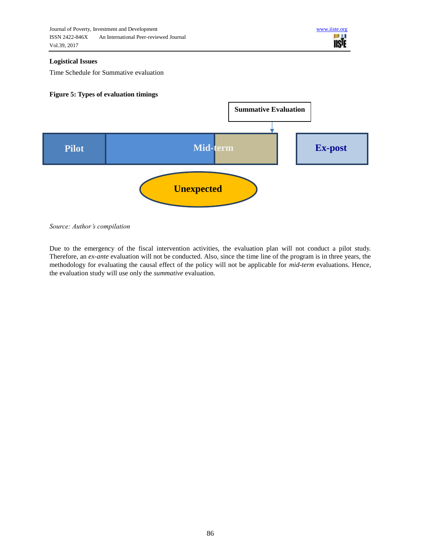

## **Logistical Issues**

Time Schedule for Summative evaluation

# **Figure 5: Types of evaluation timings**



*Source: Author's compilation*

Due to the emergency of the fiscal intervention activities, the evaluation plan will not conduct a pilot study. Therefore, an *ex-ante* evaluation will not be conducted. Also, since the time line of the program is in three years, the methodology for evaluating the causal effect of the policy will not be applicable for *mid-term* evaluations. Hence, the evaluation study will use only the *summative* evaluation.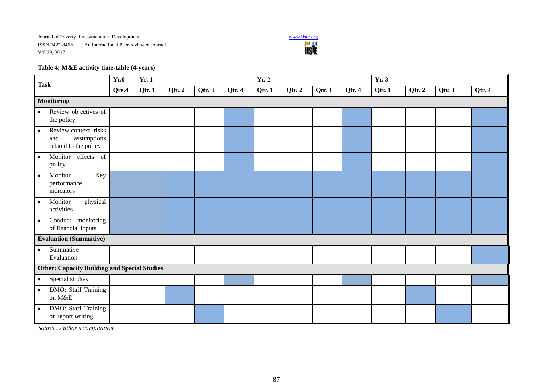

# **Table 4: M&E activity time-table (4-years)**

| <b>Task</b>                                                                       | Yr.0  | Yr. 1  |        |        |        | <b>Yr. 2</b> |        |        | Yr.3   |        |        |        |        |
|-----------------------------------------------------------------------------------|-------|--------|--------|--------|--------|--------------|--------|--------|--------|--------|--------|--------|--------|
|                                                                                   | Qre.4 | Qtr. 1 | Qtr. 2 | Qtr. 3 | Qtr. 4 | Qtr. 1       | Qtr. 2 | Qtr. 3 | Qtr. 4 | Qtr. 1 | Qtr. 2 | Qtr. 3 | Qtr. 4 |
| <b>Monitoring</b>                                                                 |       |        |        |        |        |              |        |        |        |        |        |        |        |
| Review objectives of<br>$\bullet$<br>the policy                                   |       |        |        |        |        |              |        |        |        |        |        |        |        |
| Review context, risks<br>$\bullet$<br>assumptions<br>and<br>related to the policy |       |        |        |        |        |              |        |        |        |        |        |        |        |
| Monitor<br>effects of<br>$\bullet$<br>policy                                      |       |        |        |        |        |              |        |        |        |        |        |        |        |
| Key<br>Monitor<br>$\bullet$<br>performance<br>indicators                          |       |        |        |        |        |              |        |        |        |        |        |        |        |
| Monitor<br>physical<br>$\bullet$<br>activities                                    |       |        |        |        |        |              |        |        |        |        |        |        |        |
| Conduct monitoring<br>$\bullet$<br>of financial inputs                            |       |        |        |        |        |              |        |        |        |        |        |        |        |
| <b>Evaluation (Summative)</b>                                                     |       |        |        |        |        |              |        |        |        |        |        |        |        |
| Summative<br>$\bullet$<br>Evaluation                                              |       |        |        |        |        |              |        |        |        |        |        |        |        |
| <b>Other: Capacity Building and Special Studies</b>                               |       |        |        |        |        |              |        |        |        |        |        |        |        |
| Special studies<br>$\bullet$                                                      |       |        |        |        |        |              |        |        |        |        |        |        |        |
| DMO: Staff Training<br>$\bullet$<br>on M&E                                        |       |        |        |        |        |              |        |        |        |        |        |        |        |
| DMO: Staff Training<br>$\bullet$<br>on report writing                             |       |        |        |        |        |              |        |        |        |        |        |        |        |

*Source: Author's compilation*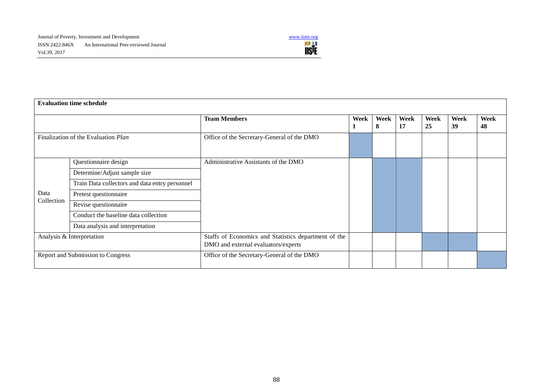

| <b>Evaluation time schedule</b>     |                                                |                                                                                             |      |           |            |            |            |            |
|-------------------------------------|------------------------------------------------|---------------------------------------------------------------------------------------------|------|-----------|------------|------------|------------|------------|
|                                     |                                                | <b>Team Members</b>                                                                         | Week | Week<br>8 | Week<br>17 | Week<br>25 | Week<br>39 | Week<br>48 |
| Finalization of the Evaluation Plan |                                                | Office of the Secretary-General of the DMO                                                  |      |           |            |            |            |            |
|                                     | Questionnaire design                           | Administrative Assistants of the DMO                                                        |      |           |            |            |            |            |
|                                     | Determine/Adjust sample size                   |                                                                                             |      |           |            |            |            |            |
|                                     | Train Data collectors and data entry personnel |                                                                                             |      |           |            |            |            |            |
| Data                                | Pretest questionnaire                          |                                                                                             |      |           |            |            |            |            |
| Collection                          | Revise questionnaire                           |                                                                                             |      |           |            |            |            |            |
|                                     | Conduct the baseline data collection           |                                                                                             |      |           |            |            |            |            |
|                                     | Data analysis and interpretation               |                                                                                             |      |           |            |            |            |            |
| Analysis & Interpretation           |                                                | Staffs of Economics and Statistics department of the<br>DMO and external evaluators/experts |      |           |            |            |            |            |
| Report and Submission to Congress   |                                                | Office of the Secretary-General of the DMO                                                  |      |           |            |            |            |            |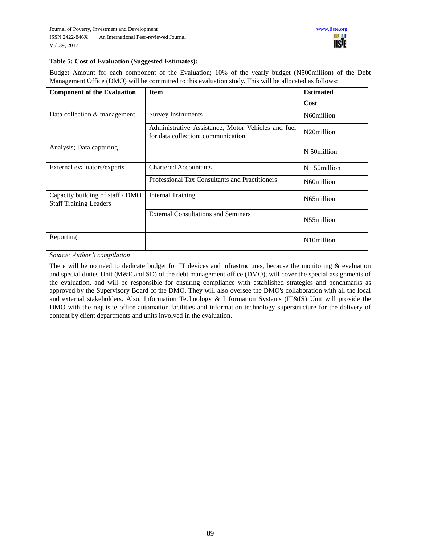# **Table 5: Cost of Evaluation (Suggested Estimates):**

Budget Amount for each component of the Evaluation; 10% of the yearly budget (N500million) of the Debt Management Office (DMO) will be committed to this evaluation study. This will be allocated as follows:

| <b>Component of the Evaluation</b>                                | <b>Item</b>                                                                              | <b>Estimated</b>        |
|-------------------------------------------------------------------|------------------------------------------------------------------------------------------|-------------------------|
|                                                                   |                                                                                          | Cost                    |
| Data collection & management                                      | <b>Survey Instruments</b>                                                                | N60million              |
|                                                                   | Administrative Assistance, Motor Vehicles and fuel<br>for data collection; communication | N <sub>20</sub> million |
| Analysis; Data capturing                                          |                                                                                          | N 50million             |
| External evaluators/experts                                       | <b>Chartered Accountants</b>                                                             | N 150million            |
|                                                                   | Professional Tax Consultants and Practitioners                                           | N60million              |
| Capacity building of staff / DMO<br><b>Staff Training Leaders</b> | Internal Training                                                                        | N65million              |
|                                                                   | <b>External Consultations and Seminars</b>                                               | N55million              |
| Reporting                                                         |                                                                                          | N10million              |

*Source: Author's compilation*

There will be no need to dedicate budget for IT devices and infrastructures, because the monitoring  $\&$  evaluation and special duties Unit (M&E and SD) of the debt management office (DMO), will cover the special assignments of the evaluation, and will be responsible for ensuring compliance with established strategies and benchmarks as approved by the Supervisory Board of the DMO. They will also oversee the DMO's collaboration with all the local and external stakeholders. Also, Information Technology & Information Systems (IT&IS) Unit will provide the DMO with the requisite office automation facilities and information technology superstructure for the delivery of content by client departments and units involved in the evaluation.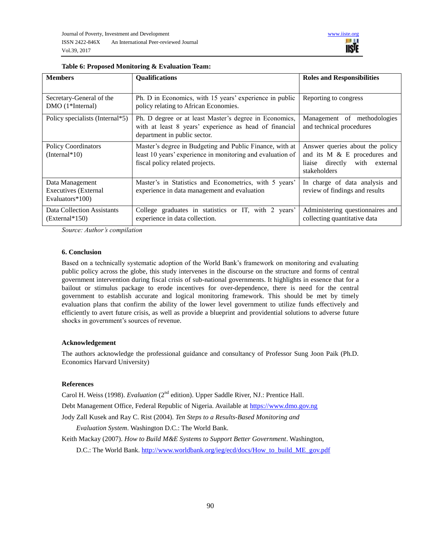

| <b>Members</b>                                             | <b>Qualifications</b>                                                                                                                                     | <b>Roles and Responsibilities</b>                                                                                   |
|------------------------------------------------------------|-----------------------------------------------------------------------------------------------------------------------------------------------------------|---------------------------------------------------------------------------------------------------------------------|
| Secretary-General of the<br>$DMO(1*Internal)$              | Ph. D in Economics, with 15 years' experience in public<br>policy relating to African Economies.                                                          | Reporting to congress                                                                                               |
| Policy specialists (Internal*5)                            | Ph. D degree or at least Master's degree in Economics,<br>with at least 8 years' experience as head of financial<br>department in public sector.          | Management of methodologies<br>and technical procedures                                                             |
| <b>Policy Coordinators</b><br>$(Internal*10)$              | Master's degree in Budgeting and Public Finance, with at<br>least 10 years' experience in monitoring and evaluation of<br>fiscal policy related projects. | Answer queries about the policy<br>and its M & E procedures and<br>liaise directly with<br>external<br>stakeholders |
| Data Management<br>Executives (External<br>Evaluators*100) | Master's in Statistics and Econometrics, with 5 years'<br>experience in data management and evaluation                                                    | In charge of data analysis and<br>review of findings and results                                                    |
| Data Collection Assistants<br>$(External*150)$             | College graduates in statistics or IT, with 2 years'<br>experience in data collection.                                                                    | Administering questionnaires and<br>collecting quantitative data                                                    |

#### **Table 6: Proposed Monitoring & Evaluation Team:**

*Source: Author's compilation*

#### **6. Conclusion**

Based on a technically systematic adoption of the World Bank's framework on monitoring and evaluating public policy across the globe, this study intervenes in the discourse on the structure and forms of central government intervention during fiscal crisis of sub-national governments. It highlights in essence that for a bailout or stimulus package to erode incentives for over-dependence, there is need for the central government to establish accurate and logical monitoring framework. This should be met by timely evaluation plans that confirm the ability of the lower level government to utilize funds effectively and efficiently to avert future crisis, as well as provide a blueprint and providential solutions to adverse future shocks in government's sources of revenue.

#### **Acknowledgement**

The authors acknowledge the professional guidance and consultancy of Professor Sung Joon Paik (Ph.D. Economics Harvard University)

#### **References**

Carol H. Weiss (1998). *Evaluation* (2<sup>nd</sup> edition). Upper Saddle River, NJ.: Prentice Hall.

Debt Management Office, Federal Republic of Nigeria. Available at [https://www.dmo.gov.ng](https://www.dmo.gov.ng/)

Jody Zall Kusek and Ray C. Rist (2004). *Ten Steps to a Results-Based Monitoring and* 

*Evaluation System*. Washington D.C.: The World Bank.

Keith Mackay (2007). *How to Build M&E Systems to Support Better Government*. Washington,

D.C.: The World Bank. [http://www.worldbank.org/ieg/ecd/docs/How\\_to\\_build\\_ME\\_gov.pdf](http://www.worldbank.org/ieg/ecd/docs/How_to_build_ME_gov.pdf)